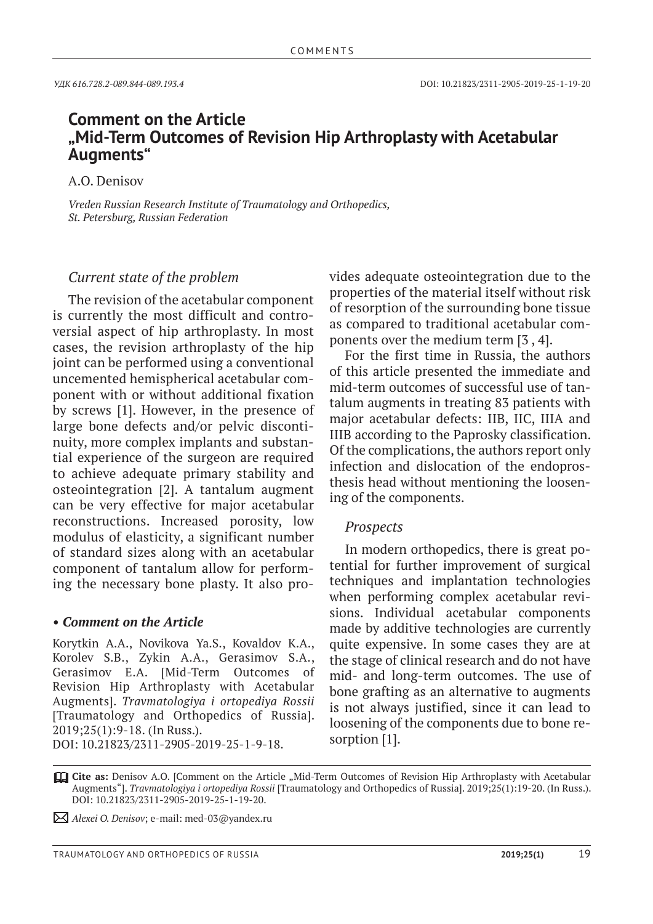# **Comment on the Article "Mid-Term Outcomes of Revision Hip Arthroplasty with Acetabular Augments"**

А.O. Denisov

*Vreden Russian Research Institute of Traumatology and Orthopedics, St. Petersburg, Russian Federation*

# *Current state of the problem*

The revision of the acetabular component is currently the most difficult and controversial aspect of hip arthroplasty. In most cases, the revision arthroplasty of the hip joint can be performed using a conventional uncemented hemispherical acetabular component with or without additional fixation by screws [1]. However, in the presence of large bone defects and/or pelvic discontinuity, more complex implants and substantial experience of the surgeon are required to achieve adequate primary stability and osteointegration [2]. A tantalum augment can be very effective for major acetabular reconstructions. Increased porosity, low modulus of elasticity, a significant number of standard sizes along with an acetabular component of tantalum allow for performing the necessary bone plasty. It also pro-

### *• Comment on the Article*

Korytkin A.A., Novikova Ya.S., Kovaldov K.A., Korolev S.B., Zykin A.A., Gerasimov S.A., Gerasimov E.A. [Mid-Term Outcomes of Revision Hip Arthroplasty with Acetabular Augments]. *Travmatologiya i ortopediya Rossii* [Traumatology and Orthopedics of Russia]. 2019;25(1):9-18. (In Russ.). DOI: 10.21823/2311-2905-2019-25-1-9-18.

vides adequate osteointegration due to the properties of the material itself without risk of resorption of the surrounding bone tissue as compared to traditional acetabular components over the medium term [3 , 4].

For the first time in Russia, the authors of this article presented the immediate and mid-term outcomes of successful use of tantalum augments in treating 83 patients with major acetabular defects: IIB, IIC, IIIA and IIIB according to the Paprosky classification. Of the complications, the authors report only infection and dislocation of the endoprosthesis head without mentioning the loosening of the components.

## *Prospects*

In modern orthopedics, there is great potential for further improvement of surgical techniques and implantation technologies when performing complex acetabular revisions. Individual acetabular components made by additive technologies are currently quite expensive. In some cases they are at the stage of clinical research and do not have mid- and long-term outcomes. The use of bone grafting as an alternative to augments is not always justified, since it can lead to loosening of the components due to bone resorption [1].

**Cite as:** Denisov A.O. [Comment on the Article "Mid-Term Outcomes of Revision Hip Arthroplasty with Acetabular Augments"]. *Travmatologiya i ortopediya Rossii* [Traumatology and Orthopedics of Russia]. 2019;25(1):19-20. (In Russ.). DOI: 10.21823/2311-2905-2019-25-1-19-20.

*Alexei O. Denisov*; e-mail: med-03@yandex.ru